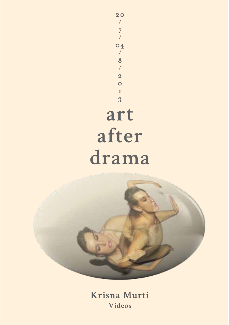

**20 / 7 / 04 / 8 / 2 0**



**Krisna Murti Videos**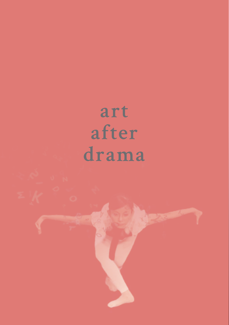# **art after drama**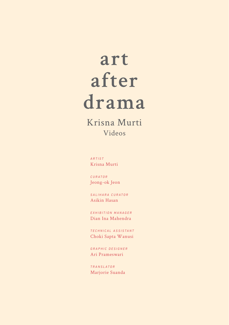# **art after drama**

# Krisna Murti Videos

*artist* Krisna Murti

*curator* Jeong-ok Jeon

*salihara curator* Asikin Hasan

*exhibition Manager* Dian Ina Mahendra

*technical assistant* Choki Sapta Wanusi

*graphic designer* Ari Prameswari

*translator* Marjorie Suanda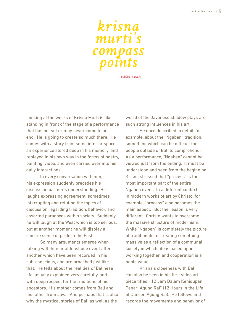*krisna murti's compass points* asikin hasan

Looking at the works of Krisna Murti is like standing in front of the stage of a performance that has not yet or may never come to an end. He is going to create so much there. He comes with a story from some interior space, an experience stored deep in his memory, and replayed in his own way in the forms of poetry, painting, video, and even carried over into his daily interactions.

In every conversation with him, his expression suddenly precedes his discussion partner's understanding. He laughs expressing agreement, sometimes interrupting and refuting the topics of discussion regarding tradition, behavior, and assorted paradoxes within society. Suddenly he will laugh at the West which is too serious, but at another moment he will display a sincere sense of pride in the East.

So many arguments emerge when talking with him or at least one event after another which have been recorded in his sub-conscious, and are broached just like that. He tells about the realities of Balinese life, usually explained very carefully, and with deep respect for the traditions of his ancestors. His mother comes from Bali and his father from Java. And perhaps that is also why the mystical stories of Bali as well as the

world of the Javanese shadow plays are such strong influences in his art.

He once described in detail, for example, about the "Ngaben" tradition, something which can be difficult for people outside of Bali to comprehend. As a performance, "Ngaben" cannot be viewed just from the ending. It must be understood and seen from the beginning. Krisna stressed that "process" is the most important part of the entire Ngaben event. In a different context in modern works of art by Christo, for example, "process" also becomes the main aspect. But the reason is very different. Christo wants to overcome the massive structure of modernism. While "Ngaben" is completely the picture of traditionalism, creating something massive as a reflection of a communal society in which life is based upon working together, and cooperation is a noble value.

Krisna's closeness with Bali can also be seen in his first video art piece titled, "12 Jam Dalam Kehidupan Penari Agung Rai" (12 Hours in the Life of Dancer, Agung Rai). He follows and records the movements and behavior of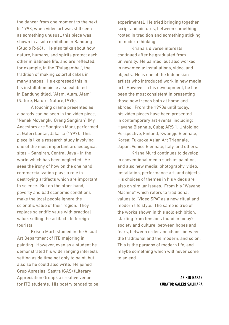the dancer from one moment to the next. In 1993, when video art was still seen as something unusual, this piece was shown in a solo exhibition in Bandung (Studio R-66) . He also talks about how nature, humans, and spirits protect each other in Balinese life, and are reflected, for example, in the "Pulagembal", the tradition of making colorful cakes in many shapes. He expressed this in his installation piece also exhibited in Bandung titled, "Alam, Alam, Alam" (Nature, Nature, Nature,1995).

A touching drama presented as a parody can be seen in the video piece, "Nenek Moyangku Orang Sangiran" (My Ancestors are Sangiran Man), performed at Galeri Lontar, Jakarta (1997). This piece is like a research study involving one of the most important archeological sites – Sangiran, Central Java - in the world which has been neglected. He sees the irony of how on the one hand commercialization plays a role in destroying artifacts which are important to science. But on the other hand, poverty and bad economic conditions make the local people ignore the scientific value of their region. They replace scientific value with practical value; selling the artifacts to foreign tourists.

Krisna Murti studied in the Visual Art Department of ITB majoring in painting. However, even as a student he demonstrated his wide ranging interests setting aside time not only to paint, but also so he could also write. He joined Grup Apresiasi Sastra (GAS) (Literary Appreciation Group), a creative venue for ITB students. His poetry tended to be experimental. He tried bringing together script and pictures; between something rooted in tradition and something sticking to modern thinking.

Krisna's diverse interests continued after he graduated from university. He painted, but also worked in new media: installations, video, and objects. He is one of the Indonesian artists who introduced work in new media art. However in his development, he has been the most consistent in presenting those new trends both at home and abroad. From the 1990s until today, his video pieces have been presented in contemporary art events, including: Havana Biennale, Cuba; ARS 1, Unfolding Perspective, Finland; Kwangju Biennale, Korea; Fukuoka Asian Art Triennale, Japan; Venice Biennale, Italy, and others.

Krisna Murti continues to develop in conventional media such as painting, and also new media: photography, video, installation, performance art, and objects. His choices of themes in his videos are also on similar issues. From his "Wayang Machine" which refers to traditional values to "Video SPA" as a new ritual and modern life style. The same is true of the works shown in this solo exhibition, starting from tensions found in today's society and culture; between hopes and fears, between order and chaos, between the traditional and the modern, and so on. This is the paradox of modern life, and maybe something which will never come to an end.

> Asikin Hasan Curator Galeri Salihara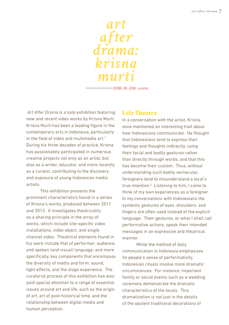*art after drama: krisna murti*

- JEONG-OK JEON, curator

*Art After Drama* is a solo exhibition featuring new and recent video works by Krisna Murti. Krisna Murti has been a leading figure in the contemporary arts in Indonesia, particularly in the field of video and multimedia art.<sup>1</sup> During his three decades of practice, Krisna has passionately participated in numerous creative projects not only as an artist, but also as a writer, educator, and more recently as a curator, contributing to the discovery and exposure of young Indonesian media artists.

This exhibition presents the prominent characteristics found in a series of Krisna's works, produced between 2011 and 2013. It investigates theatricality as a sharing principle in the array of works, which include site-specific video installations, video object, and single channel video. Theatrical elements found in his work include that of performer, audience, and spoken (and visual) language; and more specifically, key components that encompass the diversity of media and form: sound, light effects, and the stage experience. The curatorial process of this exhibition has also paid special attention to a range of essential issues around art and life, such as the origin of art, art of post-historical time, and the relationship between digital media and human perception.

### **Life Theatre**

In a conversation with the artist, Krisna once mentioned an interesting trait about how Indonesians communicate. He thought that Indonesians tend to express their feelings and thoughts indirectly, using their facial and bodily gestures rather than directly through words, and that this has become their custom. Thus, without understanding such bodily vernacular, foreigners tend to misunderstand a local's true intention.2 Listening to him, I came to think of my own experiences as a foreigner. In my conversations with Indonesians the symbolic gestures of eyes, shoulders, and fingers are often used instead of the explicit language. Their gestures, or what I shall call performative actions, speak their intended messages in an expressive and theatrical manner.

While the method of daily communication in Indonesia emphasizes its people's sense of performativity, Indonesian rituals involve more dramatic circumstances. For instance, important family or social events such as a wedding ceremony demonstrate the dramatic characteristics of the locals. This dramatization is not just in the details of the opulent traditional decorations of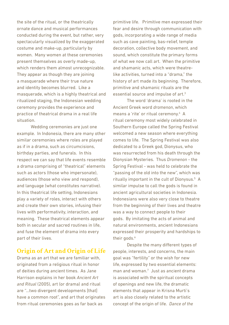the site of the ritual, or the theatrically ornate dance and musical performances conducted during the event, but rather, very spectacularly visualized by the exaggerated costume and make-up, particularly by women. Many women at these ceremonies present themselves as overly made-up, which renders them almost unrecognizable. They appear as though they are joining a masquerade where their true nature and identity becomes blurred. Like a masquerade, which is a highly theatrical and ritualized staging, the Indonesian wedding ceremony provides the experience and practice of theatrical drama in a real life situation.

Wedding ceremonies are just one example. In Indonesia, there are many other similar ceremonies where roles are played as if in a drama, such as circumcisions, birthday parties, and funerals. In this respect we can say that life events resemble a drama comprising of "theatrical" elements such as actors (those who impersonate), audiences (those who view and respond), and language (what constitutes narrative). In this theatrical life setting, Indonesians play a variety of roles, interact with others and create their own stories, infusing their lives with performativity, interaction, and meaning. These theatrical elements appear both in secular and sacred routines in life, and fuse the element of drama into every part of their lives.

## **Origin of Art and Origin of Life**

Drama as an art that we are familiar with, originated from a religious ritual in honor of deities during ancient times. As Jane Harrison explains in her book *Ancient Art and Ritual* (2005), art (or drama) and ritual are "…two divergent developments [that] have a common root", and art that originates from ritual ceremonies goes as far back as

primitive life. Primitive men expressed their fear and desire through communication with gods, incorporating a wide range of media such as cave painting, bas-relief, temple decoration, collective body movement, and sound, which constitute the primary forms of what we now call art. When the primitive and shamanic acts, which were theatrelike activities, turned into a "drama," the history of art made its beginning. Therefore, primitive and shamanic rituals are the essential source and impulse of art.<sup>3</sup>

The word 'drama' is rooted in the Ancient Greek word *dromenon*, which means a 'rite' or ritual ceremony.4 A ritual ceremony most widely celebrated in Southern Europe called the Spring Festival welcomed a new season where everything comes to life. The Spring Festival was also dedicated to a Greek god, Dionysus, who was resurrected from his death through the Dionysian Mysteries. Thus *Dromenon* - the Spring Festival - was held to celebrate the "passing of the old into the new", which was ritually important in the cult of Dionysus.5 A similar impulse to call the gods is found in ancient agricultural societies in Indonesia. Indonesians were also very close to theatre from the beginning of their lives and theatre was a way to connect people to their gods. By imitating the acts of animal and natural environments, ancient Indonesians expressed their prosperity and hardships to their gods.<sup>6</sup>

Despite the many different types of people, interests, and concerns, the main goal was "fertility" or the wish for new life, expressed by two essential elements: man and woman.<sup>7</sup> Just as ancient drama is associated with the spiritual concepts of openings and new life, the dramatic elements that appear in Krisna Murti's art is also closely related to the artistic concept of the origin of life. *Dance of the*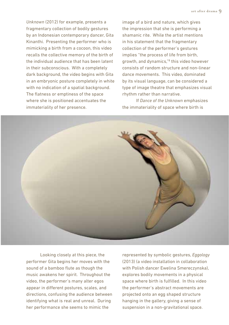*Unknown* (2012) for example, presents a fragmentary collection of bodily gestures by an Indonesian contemporary dancer, Gita Kinanthi. Presenting the performer who is mimicking a birth from a cocoon, this video recalls the collective memory of the birth of the individual audience that has been latent in their subconscious. With a completely dark background, the video begins with Gita in an embryonic posture completely in white with no indication of a spatial background. The flatness or emptiness of the space where she is positioned accentuates the immateriality of her presence.

image of a bird and nature, which gives the impression that she is performing a shamanic rite. While the artist mentions in his statement that the fragmentary collection of the performer's gestures implies "the process of life from birth, growth, and dynamics,"8 this video however consists of random structure and non-linear dance movements. This video, dominated by its visual language, can be considered a type of image theatre that emphasizes visual rhythm rather than narrative.

If *Dance of the Unknown* emphasizes the immateriality of space where birth is



Looking closely at this piece, the performer Gita begins her moves with the sound of a bamboo flute as though the music awakens her spirit. Throughout the video, the performer's many alter egos appear in different postures, scales, and directions, confusing the audience between identifying what is real and unreal. During her performance she seems to mimic the

represented by symbolic gestures, *Eggology* (2013) (a video installation in collaboration with Polish dancer Ewelina Smereczynska), explores bodily movements in a physical space where birth is fulfilled. In this video the performer's abstract movements are projected onto an egg shaped structure hanging in the gallery, giving a sense of suspension in a non-gravitational space.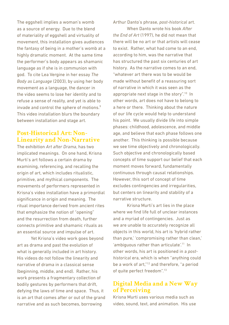The eggshell implies a woman's womb as a source of energy. Due to the blend of materiality of eggshell and virtuality of movement, this installation gives audiences the fantasy of being in a mother's womb at a highly dramatic moment. At the same time the performer's body appears as shamanic language as if she is in communion with god. To cite Lea Vergine in her essay *The Body as Language* (2003), by using her body movement as a language, the dancer in the video seems to lose her identity and to refuse a sense of reality, and yet is able to invade and control the sphere of motions.<sup>9</sup> This video installation blurs the boundary between installation and stage art.

# **Post-Historical Art: Non-Linearity and Non-Narrative**

The exhibition *Art after Drama*, has two implicated meanings. On one hand, Krisna Murti's art follows a certain drama by examining, referencing, and recalling the origin of art, which includes ritualistic, primitive, and mythical components. The movements of performers represented in Krisna's video installation have a primordial significance in origin and meaning. The ritual importance derived from ancient rites that emphasize the notion of "opening" and the resurrection from death, further connects primitive and shamanic rituals as an essential source and impulse of art.

Yet Krisna's video work goes beyond art as drama and past the evolution of what is generally included in art history. His videos do not follow the linearity and narrative of drama in a classical sense (beginning, middle, and end). Rather, his work presents a fragmentary collection of bodily gestures by performers that drift, defying the laws of time and space. Thus, it is an art that comes after or out of the grand narrative and as such becomes, borrowing

Arthur Danto's phrase, *post-historical* art.

When Danto wrote his book *After the End of Art* (1997), he did not mean that there will be no art or that artists will cease to exist. Rather, what had come to an end, according to him, was the narrative that has structured the past six centuries of art history. As the narrative comes to an end, "whatever art there was to be would be made without benefit of a reassuring sort of narrative in which it was seen as the appropriate next stage in the story".<sup>10</sup> In other words, art does not have to belong to a here or there. Thinking about the nature of our life cycle would help to understand his point. We usually divide life into simple phases: childhood, adolescence, and middle age, and believe that each phase follows one another. This thinking is possible because we see time objectively and chronologically. Such objective and chronologically based concepts of time support our belief that each moment moves forward, fundamentally continuous through causal relationships. However, this sort of concept of time excludes contingencies and irregularities, but centers on linearity and stability of a narrative structure.

Krisna Murti's art lies in the place where we find life full of unclear instances and a myriad of contingencies. Just as we are unable to accurately recognize all objects in this world, his art is 'hybrid rather than pure,' 'compromising rather than clean,' 'ambiguous rather than articulate'.<sup>11</sup> In other words, his art is positioned in a *posthistorical* era, which is when "anything could be a work of art,"12 and therefore, "a period of quite perfect freedom".13

### **Digital Media and a New Way of Perceiving**

Krisna Murti uses various media such as video, sound, text, and animation. His use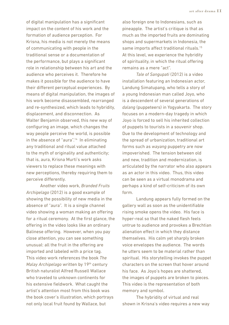of digital manipulation has a significant impact on the content of his work and the formation of audience perception. For Krisna, his media is not merely the means of communicating with people in the traditional sense or a documentation of the performance, but plays a significant role in relationship between his art and the audience who perceives it. Therefore he makes it possible for the audience to have their different perceptual experiences. By means of digital manipulation, the images of his work become disassembled, rearranged and re-synthesized, which leads to hybridity, displacement, and disconnection. As Walter Benjamin observed, this new way of configuring an image, which changes the way people perceive the world, is possible in the absence of "aura".<sup>14</sup> In eliminating any traditional and ritual value attached to the myth of originality and authenticity; that is, aura, Krisna Murti's work asks viewers to replace these meanings with new perceptions, thereby requiring them to perceive differently.

Another video work, *Branded Fruits Archipelago* (2012) is a good example of showing the possibility of new media in the absence of "aura". It is a single channel video showing a woman making an offering for a ritual ceremony. At the first glance, the offering in the video looks like an ordinary Balinese offering. However, when you pay close attention, you can see something unusual: all the fruit in the offering are imported and labeled with a price tag. This video work references the book *The Malay Archipelago* written by 19th century British naturalist Alfred Russell Wallace who traveled to unknown continents for his extensive fieldwork. What caught the artist's attention most from this book was the book cover's illustration, which portrays not only local fruit found by Wallace, but

also foreign one to Indonesians, such as pineapple. The artist's critique is that as much as the imported fruits are dominating shops and supermarkets in Indonesia, the same imports affect traditional rituals.<sup>15</sup> At this level, we experience the hybridity of spirituality, in which the ritual offering remains as a mere "act".

*Tale of Sangupati* (2012) is a video installation featuring an Indonesian actor, Landung Simatupang, who tells a story of a young Indonesian man called Joyo, who is a descendent of several generations of *dalang* (puppeteers) in Yogyakarta. The story focuses on a modern-day tragedy in which Joyo is forced to sell his inherited collection of puppets to tourists in a souvenir shop. Due to the development of technology and the spread of urbanization, traditional art forms such as *wayang* puppetry are now impoverished. The tension between old and new, tradition and modernization, is articulated by the narrator who also appears as an actor in this video. Thus, this video can be seen as a virtual monodrama and perhaps a kind of self-criticism of its own form.

Landung appears fully formed on the gallery wall as soon as the unidentifiable rising smoke opens the video. His face is hyper-real so that the naked flesh feels untrue to audience and provokes a Brechtian alienation effect in which they distance themselves. His calm yet sharply broken voice envelopes the audience. The words he utters seem to be material rather than spiritual. His storytelling invokes the puppet characters on the screen that hover around his face. As Joyo's hopes are shattered, the images of puppets are broken to pieces. This video is the representation of both memory and symbol.

The hybridity of virtual and real shown in Krisna's video requires a new way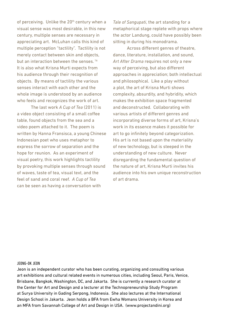of perceiving. Unlike the 20<sup>th</sup> century when a visual sense was most desirable, in this new century, multiple senses are necessary in appreciating art. McLuhan calls this kind of multiple perception "tactility". Tactility is not merely contact between skin and objects, but an interaction between the senses.<sup>16</sup> It is also what Krisna Murti expects from his audience through their recognition of objects. By means of tactility the various senses interact with each other and the whole image is understood by an audience who feels and recognizes the work of art.

The last work *A Cup of Tea* (2011) is a video object consisting of a small coffee table, found objects from the sea and a video poem attached to it. The poem is written by Hanna Fransisca, a young Chinese Indonesian poet who uses metaphor to express the sorrow of separation and the hope for reunion. As an experiment of visual poetry, this work highlights tactility by provoking multiple senses through sound of waves, taste of tea, visual text, and the feel of sand and coral reef. *A Cup of Tea* can be seen as having a conversation with

*Tale of Sangupati*, the art standing for a metaphorical stage replete with props where the actor Landung, could have possibly been sitting in during his monodrama.

Across different genres of theatre, dance, literature, installation, and sound, *Art After Drama* requires not only a new way of perceiving, but also different approaches in appreciation; both intellectual and philosophical. Like a play without a plot, the art of Krisna Murti shows complexity, absurdity, and hybridity, which makes the exhibition space fragmented and deconstructed. Collaborating with various artists of different genres and incorporating diverse forms of art, Krisna's work in its essence makes it possible for art to go infinitely beyond categorization. His art is not based upon the materiality of new technology, but is steeped in the understanding of new culture. Never disregarding the fundamental question of the nature of art, Krisna Murti invites his audience into his own unique reconstruction of art drama.

#### Jeong-ok Jeon

Jeon is an independent curator who has been curating, organizing and consulting various art exhibitions and cultural related events in numerous cities, including Seoul, Paris, Venice, Brisbane, Bangkok, Washington, DC, and Jakarta. She is currently a research curator at the Center for Art and Design and a lecturer at the Technopreneurship Study Program at Surya University in Gading Serpong, Indonesia. She also lectures at the International Design School in Jakarta. Jeon holds a BFA from Ewha Womans University in Korea and an MFA from Savannah College of Art and Design in USA. (www.projectandini.org)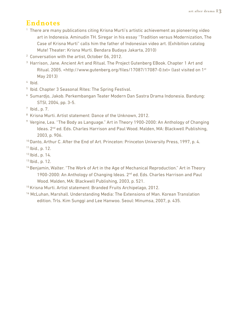# **Endnotes**

- 1 There are many publications citing Krisna Murti's artistic achievement as pioneering video art in Indonesia. Aminudin TH. Siregar in his essay "Tradition versus Modernization, The Case of Krisna Murti" calls him the father of Indonesian video art. (Exhibition catalog Mute! Theater: Krisna Murti. Bendara Budaya Jakarta, 2010)
- 2 Conversation with the artist, October 06, 2012.
- 3 Harrison, Jane. Ancient Art and Ritual. The Project Gutenberg EBook. Chapter 1 Art and Ritual. 2005. <http://www.gutenberg.org/files/17087/17087-0.txt> (last visited on 1<sup>st</sup>) May 2013)
- 4 Ibid.
- 5 Ibid. Chapter 3 Seasonal Rites: The Spring Festival.
- $^{\rm 6}$  Sumardjo, Jakob. Perkembangan Teater Modern Dan Sastra Drama Indonesia. Bandung: STSI, 2004, pp. 3-5.
- $^7$  Ibid., p. 7.
- 8 Krisna Murti. Artist statement: Dance of the Unknown, 2012.
- 9 Vergine, Lea. "The Body as Language." Art in Theory 1900-2000: An Anthology of Changing Ideas. 2nd ed. Eds. Charles Harrison and Paul Wood. Malden, MA: Blackwell Publishing, 2003, p. 906.

10 Danto, Arthur C. After the End of Art. Princeton: Princeton University Press, 1997, p. 4.

- 11 Ibid., p. 12.
- 12 Ibid., p. 14.
- 13 Ibid., p. 12.
- <sup>14</sup> Benjamin, Walter. "The Work of Art in the Age of Mechanical Reproduction." Art in Theory 1900-2000: An Anthology of Changing Ideas. 2nd ed. Eds. Charles Harrison and Paul Wood. Malden, MA: Blackwell Publishing, 2003, p. 521.
- 15 Krisna Murti. Artist statement: Branded Fruits Archipelago, 2012.
- <sup>16</sup> McLuhan, Marshall. Understanding Media: The Extensions of Man. Korean Translation edition. Trls. Kim Sunggi and Lee Hanwoo. Seoul: Minumsa, 2007, p. 435.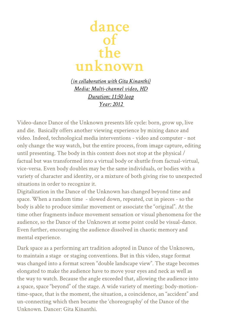# **dance of the unknown**

*(in collaboration with Gita Kinanthi) Media: Multi-channel video, HD Duration: 11:50 loop Year: 2012* 

Video-dance Dance of the Unknown presents life cycle: born, grow up, live and die. Basically offers another viewing experience by mixing dance and video. Indeed, technological media interventions - video and computer - not only change the way watch, but the entire process, from image capture, editing until presenting. The body in this context does not stop at the physical / factual but was transformed into a virtual body or shuttle from factual-virtual, vice-versa. Even body doubles may be the same individuals, or bodies with a variety of character and identity, or a mixture of both giving rise to unexpected situations in order to recognize it.

Digitalization in the Dance of the Unknown has changed beyond time and space. When a random time - slowed down, repeated, cut in pieces - so the body is able to produce similar movement or associate the "original". At the time other fragments induce movement sensation or visual phenomena for the audience, so the Dance of the Unknown at some point could be visual-dance. Even further, encouraging the audience dissolved in chaotic memory and mental experience.

Dark space as a performing art tradition adopted in Dance of the Unknown, to maintain a stage or staging conventions. But in this video, stage format was changed into a format screen "double landscape view". The stage becomes elongated to make the audience have to move your eyes and neck as well as the way to watch. Because the angle exceeded that, allowing the audience into a space, space "beyond" of the stage. A wide variety of meeting: body-motiontime-space, that is the moment, the situation, a coincidence, an "accident" and un-connecting which then became the 'choreography' of the Dance of the Unknown. Dancer: Gita Kinanthi.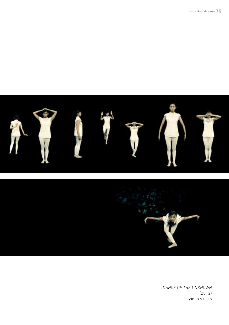



*dance of the unknown* (2012) video stills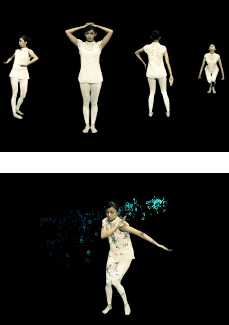

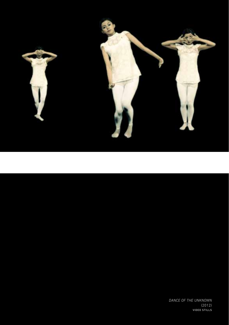

*dance of the unknown* (2012) video stills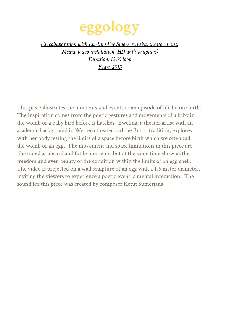# **eggology**

*(in collaboration with Ewelina Eve Smereczynska, theater artist) Media: video installation (HD with sculpture) Duration: 12:30 loop Year: 2013*

This piece illustrates the moments and events in an episode of life before birth. The inspiration comes from the poetic gestures and movements of a baby in the womb or a baby bird before it hatches. Ewelina, a theater artist with an academic background in Western theater and the Butoh tradition, explores with her body testing the limits of a space before birth which we often call the womb or an egg. The movement and space limitations in this piece are illustrated as absurd and futile moments, but at the same time show us the freedom and even beauty of the condition within the limits of an egg shell. The video is projected on a wall sculpture of an egg with a 1.6 meter diameter, inviting the viewers to experience a poetic event, a mental interaction. The sound for this piece was created by composer Ketut Sumerjana.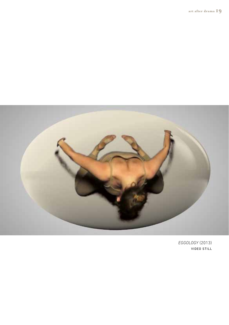**art after drama 19**



*Eggology* (2013) video still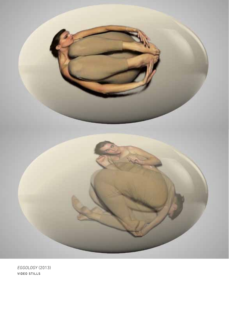

*Eggology* (2013) video stills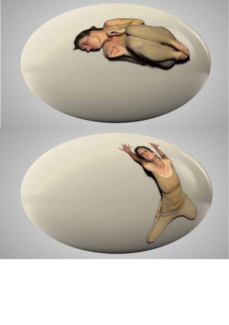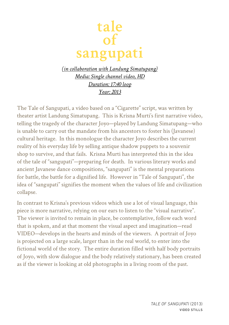

*(in collaboration with Landung Simatupang) Media: Single channel video, HD Duration: 17:40 loop Year: 2013*

The Tale of Sangupati, a video based on a "Cigarette" script, was written by theater artist Landung Simatupang. This is Krisna Murti's first narrative video, telling the tragedy of the character Joyo—played by Landung Simatupang—who is unable to carry out the mandate from his ancestors to foster his (Javanese) cultural heritage. In this monologue the character Joyo describes the current reality of his everyday life by selling antique shadow puppets to a souvenir shop to survive, and that fails. Krisna Murti has interpreted this in the idea of the tale of "sangupati"—preparing for death. In various literary works and ancient Javanese dance compositions, "sangupati" is the mental preparations for battle, the battle for a dignified life. However in "Tale of Sangupati", the idea of "sangupati" signifies the moment when the values of life and civilization collapse.

In contrast to Krisna's previous videos which use a lot of visual language, this piece is more narrative, relying on our ears to listen to the "visual narrative". The viewer is invited to remain in place, be contemplative, follow each word that is spoken, and at that moment the visual aspect and imagination—read VIDEO—develops in the hearts and minds of the viewers. A portrait of Joyo is projected on a large scale, larger than in the real world, to enter into the fictional world of the story. The entire duration filled with half body portraits of Joyo, with slow dialogue and the body relatively stationary, has been created as if the viewer is looking at old photographs in a living room of the past.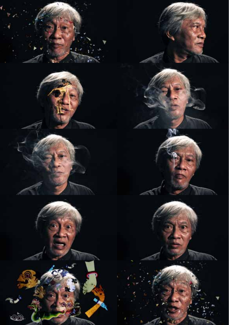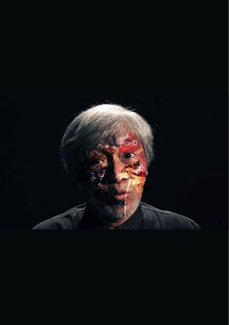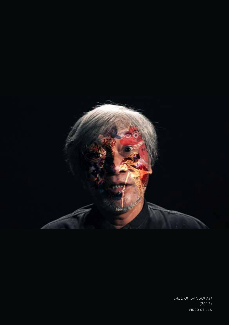

*tale of sangupati* (2013) VIDEO STILLS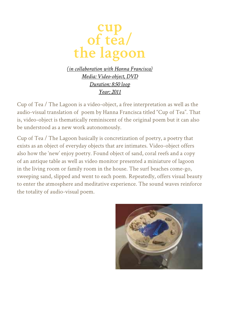

*(in collaboration with Hanna Francisca) Media: Video-object, DVD Duration: 8:50 loop Year: 2011*

Cup of Tea / The Lagoon is a video-object, a free interpretation as well as the audio-visual translation of poem by Hanna Francisca titled "Cup of Tea". That is, video-object is thematically reminiscent of the original poem but it can also be understood as a new work autonomously.

Cup of Tea / The Lagoon basically is concretization of poetry, a poetry that exists as an object of everyday objects that are intimates. Video-object offers also how the 'new' enjoy poetry. Found object of sand, coral reefs and a copy of an antique table as well as video monitor presented a miniature of lagoon in the living room or family room in the house. The surf beaches come-go, sweeping sand, slipped and went to each poem. Repeatedly, offers visual beauty to enter the atmosphere and meditative experience. The sound waves reinforce the totality of audio-visual poem.

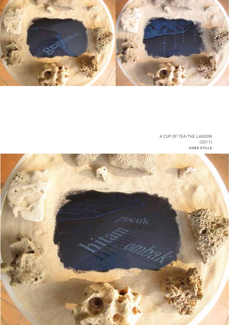

*a cup of tea/the lagoon*  (2011) video stills

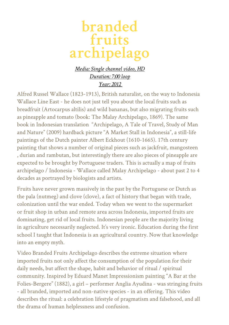# **branded fruits archipelago**

# *Media: Single channel video, HD Duration: 7:00 loop Year: 2012*

Alfred Russel Wallace (1823-1913), British naturalist, on the way to Indonesia Wallace Line East - he does not just tell you about the local fruits such as breadfruit (Artocarpus altilis) and wild bananas, but also migrating fruits such as pineapple and tomato (book: The Malay Archipelago, 1869). The same book in Indonesian translation "Archipelago, A Tale of Travel, Study of Man and Nature" (2009) hardback picture "A Market Stall in Indonesia", a still-life paintings of the Dutch painter Albert Eckhout (1610-1665). 17th century painting that shows a number of original pieces such as jackfruit, mangosteen , durian and rambutan, but interestingly there are also pieces of pineapple are expected to be brought by Portuguese traders. This is actually a map of fruits archipelago / Indonesia - Wallace called Malay Archipelago - about past 2 to 4 decades as portrayed by biologists and artists.

Fruits have never grown massively in the past by the Portuguese or Dutch as the pala (nutmeg) and clove (clove), a fact of history that began with trade, colonization until the war ended. Today when we went to the supermarket or fruit shop in urban and remote area across Indonesia, imported fruits are dominating, get rid of local fruits. Indonesian people are the majority living in agriculture necessarily neglected. It's very ironic. Education during the first school I taught that Indonesia is an agricultural country. Now that knowledge into an empty myth.

Video Branded Fruits Archipelago describes the extreme situation where imported fruits not only affect the consumption of the population for their daily needs, but affect the shape, habit and behavior of ritual / spiritual community. Inspired by Eduard Manet Impressionism painting "A Bar at the Folies-Bergere" (1882), a girl – performer Anglia Ayudina - was stringing fruits - all branded, imported and non-native species - in an offering. This video describes the ritual: a celebration lifestyle of pragmatism and falsehood, and all the drama of human helplessness and confusion.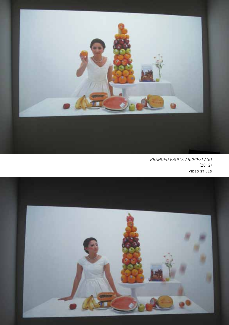

*branded fruits archipelago*  (2012) video stills

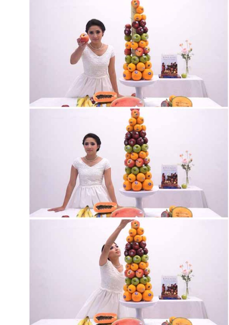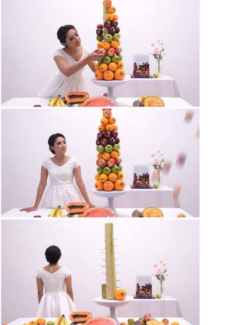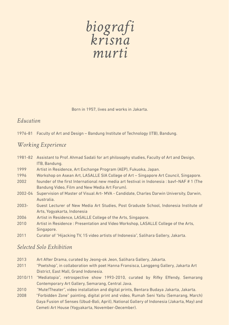*biografi krisna murti*

Born in 1957, lives and works in Jakarta.

## *Education*

1976-81 Faculty of Art and Design – Bandung Institute of Technology (ITB), Bandung.

# *Working Experience*

| 1981-82 Assistant to Prof. Ahmad Sadali for art philosophy studies, Faculty of Art and Design, |
|------------------------------------------------------------------------------------------------|
| ITB, Bandung.                                                                                  |

- 1999 Artist in Residence, Art Exchange Program (AEP), Fukuoka, Japan.
- 1996 Workshop on Asean Art, LASALLE SIA College of Art Singapore Art Council, Singapore.
- 2002 founder of the first International new media art festival in Indonesia : bavf~NAF # 1 (The Bandung Video, Film and New Media Art Forum).
- 2002-04 Supervision of Master of Visual Art- MVA Candidate, Charles Darwin University, Darwin, Australia.
- 2003- Guest Lecturer of New Media Art Studies, Post Graduste School, Indonesia Institute of Arts, Yogyakarta, Indonesia
- 2006 Artist in Residence, LASALLE College of the Arts, Singapore.
- 2010 Artist in Residence : Presentation and Video Workshop, LASALLE College of the Arts, Singapore.
- 2011 Curator of "Hijacking TV, 15 video artists of Indonesia", Salihara Gallery, Jakarta.

## *Selected Solo Exhibition*

- 2013 Art After Drama, curated by Jeong-ok Jeon, Salihara Gallery, Jakarta.
- 2011 "Poetshop", in collaboration with poet Hanna Fransisca, Langgeng Gallery, Jakarta Art District, East Mall, Grand Indonesia.
- 2010/11 "Mediatopia", retrospective show 1993-2010, curated by Rifky Effendy, Semarang Contemporary Art Gallery, Semarang, Central Java.
- 2010 "Mute!Theater", video installation and digital prints, Bentara Budaya Jakarta, Jakarta.
- 2008 "Forbidden Zone" painting, digital print and video, Rumah Seni Yaitu (Semarang, March) Gaya Fusion of Senses (Ubud-Bali, April), National Gallery of Indonesia (Jakarta, May) and Cemeti Art House (Yogyakarta, November-December).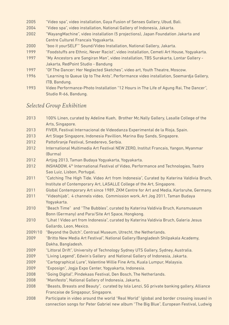- "Video spa", video installation, Gaya Fusion of Senses Gallery, Ubud, Bali.
- "Video spa", video installation, National Gallery of Indonesia, Jakarta.
- "WayangMachine", video installation (5 projections), Japan Foundation Jakarta and Centre Culturel Francais Yogyakarta.
- "boo it yourSELF'" Sound/Video Installation, National Gallery, Jakarta.
- "Foodstuffs are Ethnic, Never Racist", video installation, Cemeti Art House, Yogyakarta.
- "My Ancestors are Sangiran Man", video installation, TBS Surakarta, Lontar Gallery Jakarta, RedPoint Studio - Bandung
- "Of The Dancer: Her Neglected Sketches", video art, Youth Theatre, Moscow.
- "Learning to Queue Up to The Ants", Performance video installation, Soemardja Gallery, ITB, Bandung.
- Video Performance-Photo Installation "12 Hours in The Life of Agung Rai, The Dancer", Studio R-66, Bandung.

#### *Selected Group Exhibition*

 100% Linen, curated by Adeline Kueh, Brother Mc.Nally Gallery, Lasalle College of the Arts, Singapore. FIVER, Festival Internacional de Videodanza Experimental de la Rioja, Spain. Art Stage Singapore, Indonesia Pavillion, Marina Bay Sands, Singapore. Pattofiranje Festival, Smederevo, Serbia. International Multimedia Art Festival NEW ZERO, Institut Francais, Yangon, Myanmar (Burma) Artjog 2013, Taman Budaya Yogyakarta, Yogyakarta. 2012 INSHADOW, 4<sup>th</sup> International Festival of Video, Performance and Technologies, Teatro Sao Luiz, Lisbon, Portugal. "Catching The High Tide. Video Art from Indonesia", Curated by Katerina Valdivia Bruch, Institute of Contemporary Art, LASALLE College of the Art, Singapore. Global Contemporary Art since 1989, ZKM Centre for Art and Media, Karlsruhe, Germany. "Videohijab", 4 channels video, Commission work, Art Jog 2011, Taman Budaya Yogyakarta. "Beach Time" and "The Bubbles", curated by Katerina Valdivia Bruch, Kunsmuseum Bonn (Germany) and Para/Site Art Space, Hongkong. "Lihat ! Video art from Indonesia", curated by Katerina Valdivia Bruch, Galeria Jesus Gallardo, Leon, Mexico. 2009/10 "Beyond the Dutch", Centraal Museum, Utrecht, the Netherlands. "Britto New Media Art Festival", National Gallery/Bangladesh Shilpakala Academy, Dakha, Bangladesh. "Littoral Drift", University of Technology Sydney UTS Gallery, Sydney, Australia. "Living Legend", Edwin's Gallery and National Gallery of Indonesia, Jakarta. "Cartographical Lure", Valentine Willie Fine Arts, Kuala Lumpur, Malaysia. "Exposign", Jogja Expo Center, Yogyakarta, Indonesia. "Going Digital", Pindekaas Festival, Den Bosch, The Netherlands. "Manifesto", National Gallery of Indonesia, Jakarta. "Beasts, Breasts and Beauty", curated by Iola Lenzi, SG private banking gallery, Alliance Francaise de Singapour, Singapore. Participate in video around the world "Real World" (global and border crossing issues) in connection songs for Peter Gabriel new album "The Big Blue", European Festival, Ludwig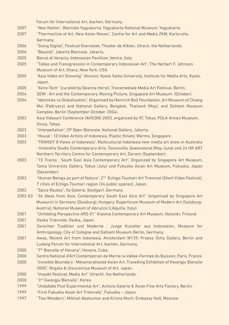Forum for International Art, Aachen, Germany.

- 2007 "Neo-Nation", Biennale Yogyakarta, Yogyakarta National Museum, Yogyakarta.
- 2007 "Thermocline of Art, New Asian Waves", Centre for Art and Media ZKM, Karlsruhe, Germany.
- 2006 "Going Digital", Festival Oversteek, Theater de Kikker, Utrech, the Netherlands.
- 2006 "Beyond", Jakarta Biennale, Jakarta.
- 2005 Bienal di Venezia, Indonesian Pavillion, Venice, Italy.
- 2005 "Taboo and Transgression in Contemporary Indonesian Art", The Herbert F. Johnson Museum of Art, Ithaca, New York, USA.
- 2005 "Asia Video art Showing" (Avicon), Kyoto Seika University, Institute for Media Arts, Kyoto, Japan.
- 2005 "Xeno-Tech" (curated by Deanna Herst), Transmediale Media Art Festival, Berlin.
- 2004 SENI : Art and the Contemporary, Moving Picture, Singapore Art Museum. (October).
- 2004 "Identities vs Globalisation", Organised by Heinrich Boll Foundation, Art Museum of Chiang Mai (February) and National Gallery, Bangkok, Thailand (May), and Dahlem Museum Complex, Berlin (September-October 2004).
- 2003 Asia Videoart Conference (AVICON) 2003, organized by VC Tokyo, POLA Annex Museum, Ginza, Tokyo.
- 2003 "Interpellation", CP Open Biennale, National Gallery, Jakarta.
- 2003 "House", 10 Video Artists of Indonesia, Plastic Kinetic Worms, Singapore .
- 2003 "TRANSIT 8 Views of Indonesia", Multicultural Indonesia new media art show in Australia : Umbrella Studio Contemporary Arts, Townsville, Queensland (May-June) and 24 HR ART Northern Territory Centre for Contemporary Art, Darwin (September).
- 2003 "15 Tracks : South East Asia Contemporary Art", Organized by Singapore Art Museum, Tama University Gallery, Tokyo (July) and Fukuoka Asian Art Museum, Fukuoka, Japan (December).
- 2003 "Human Beings as part of Nature", 2nd Echigo-Tsumari Art Triennial (Short Video Festival), 7 cities of Echigo-Tsumari region (24 public spaces), Japan.
- 2002 "Spice Routes", ifa Galerie, Stuttgart. Germany.
- 2002-03 "36 Ideas from Asia, Contemporary South East Asia Art" (organized by Singapore Art Museum) in Germany (Duisburg), Hungary, Rupertinum Museum of Modern Art (Salzburg-Austria), National Museum of Abruzzo (L'Aquilla, Italy).
- 2001 "Unfolding Perspective ARS 01" Kiasma Contemporary Art Museum, Helsinki, Finland.
- 2001 Osaka Triennale, Osaka, Japan.
- 2001 Zwischen Tradition und Moderne : Junge Kunstler aus Indonesien, Museum for Anthropology, City of Cologne and Dahlem Museum Berlin, Germany.
- 2001 Awas, Recent Art from Indonesia, Amsterdam W139, Pruess Ochs Gallery, Berlin and Ludwig Forum for International Art, Aachen, Germany.
- 2000 "7th Bienalle of Havana", Havana, Cuba.
- 2000 Centre National d'Art Contemporain de Marne la-Vallee-Fermee du Buisson, Paris, France.
- 2000 "Invisible Boundary : Metamorphosed Asian Art, Travelling Exhibition of Kwangju Bienalle 2000", Niigata & Utsunomiya Museum of Art, Japan.
- 2000 "Impakt Festival, Media Art" Utrecht, the Netherlands.
- 2000 "3rd Gwangju Bienalle", Korea.
- 1999 "Undabdie Post Experimental Art", Actions Galerie & Asian Fine Arts Factory, Berlin.
- 1999 "First Fukuoka Asian Art Triennale", Fukuoka Japan.
- 1997 "Two Wonders", Mikhail Abakumov and Krisna Murti, Embassy Hall, Moscow.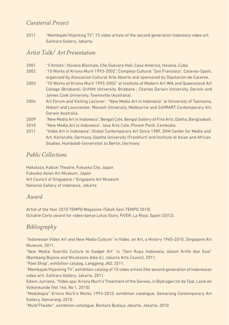# *Curatorial Project*

2011 "Membajak/Hijacking TV", 15 video artists of the second generation Indonesia video art, Salihara Gallery, Jakarta.

# *Artist Talk/ Art Presentation*

- 2001 "3 Artists", Havana Biennale, Che Guevara Hall, Casa America, Havana, Cuba.
- 2002 "10 Works of Krisna Murti 1993-2002", Complejo Cultural "San Fransisco", Caceres-Spain, organized by Asosiacion Cultural Arte Abierto and sponsored by Diputacion de Caceres.
- 2003 "10 Works of Krisna Murti 1993-2002" at Institute of Modern Art IMA and Queensland Art College (Brisbane), Griffith University, Brisbane ; Charles Darwin University, Darwin and James Cook University, Townsville (Australia).
- 2004 Art Forum and Visiting Lecturer : "New Media Art in Indonesia" at University of Tasmania, Hobart and Launceston, Monash University, Melbourne and 24HRART Contemporary Art, Darwin Australia.
- 2009 "New Media Art in Indonesia", Bengal Cafe, Bengal Gallery of Fine Arts, Dakha, Bangladesh.
- 2010 "New Media Art in Indonesia", Java Arts Cafe, Phnom Penh, Cambodia.
- 2011 "Video Art in Indonesia", Global Contemporary Art Since 1989, ZKM Center for Media and Art, Karlsruhe, Germany, Goethe University (Frankfurt) and Institute of Asian and African Studies, Humboldt-Universitat zu Berlin, Germany.

# *Public Collections*

Hakataza, Kabuki Theatre, Fukuoka City, Japan Fukuoka Asian Art Museum, Japan Art Council of Singapore / Singapore Art Museum National Gallery of Indonesia, Jakarta

## *Award*

Artist of the Year 2010 TEMPO Magazine (Tokoh Seni TEMPO 2010) Octubre Corto award for video-dance Lotus Story, FIVER, La Rioja, Spain (2012).

# *Bibliography*

"Indonesian Video Art and New Media Culture" in Video, an Art, a History 1965-2010, Singapore Art Museum, 2011.

"New Media: Guerilla Culture to Gadget Art" in *"S*eni Rupa Indonesia, dalam Kritik dan Esai" (Bambang Bujono and Wicaksono Adie d.), Jakarta Arts Council, 2011.

"Poet Shop", exhibition catalog, Langgeng JAD, 2011.

"Membajak/Hijacking TV", exhibition catalog of 15 video artists (the second generation of Indonesian video art), Salihara Gallery, Jakarta, 2011.

Edwin Jurriens, "Video spa: Krisna Murti's Treatment of the Senses, in Bijdragen tot de Taal, Land-en Volkenkunde (Vol 166, No 1, 2010).

"Mediatopia" Krisna Murti's Works 1993-2010, exhibition catalogue, Semarang Contemporary Art Gallery, Semarang, 2010.

"Mute!Theater", exhibition catalogue, Bentara Budaya Jakarta, Jakarta, 2010.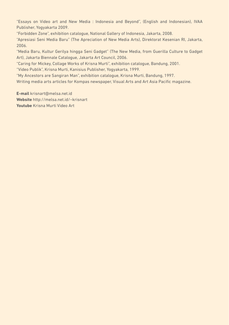"Essays on Video art and New Media : Indonesia and Beyond", (English and Indonesian), IVAA Publisher, Yogyakarta 2009.

"Forbidden Zone", exhibition catalogue, National Gallery of Indonesia, Jakarta, 2008.

"Apresiasi Seni Media Baru" (The Apreciation of New Media Arts), Direktorat Kesenian RI, Jakarta, 2006.

"Media Baru, Kultur Gerilya hingga Seni Gadget" (The New Media, from Guerilla Culture to Gadget Art), Jakarta Biennale Catalogue, Jakarta Art Council, 2006.

"Caring for Mickey, Collage Works of Krisna Murti", exhibition catalogue, Bandung, 2001.

"Video Publik", Krisna Murti, Kanisius Publisher, Yogyakarta, 1999.

"My Ancestors are Sangiran Man", exhibition catalogue, Krisna Murti, Bandung, 1997.

Writing media arts articles for Kompas newspaper, Visual Arts and Art Asia Pacific magazine.

**E-mail** krisnart@melsa.net.id **Website** http://melsa.net.id/~krisnart **Youtube** Krisna Murti Video Art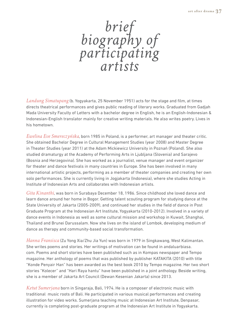

*Landung Simatupang* (b. Yogyakarta, 25 November 1951) acts for the stage and film, at times directs theatrical performances and gives public reading of literary works. Graduated from Gadjah Mada University Faculty of Letters with a bachelor degree in English, he is an English-Indonesian & Indonesian-English translator mainly for creative writing materials. He also writes poetry. Lives in his hometown.

*Ewelina Eve Smereczyńska*, born 1985 in Poland, is a performer, art manager and theater critic. She obtained Bachelor Degree in Cultural Management Studies (year 2008) and Master Degree in Theater Studies (year 2011) at the Adam Mickiewicz University in Poznań (Poland). She also studied dramaturgy at the Academy of Performing Arts in Ljubljana (Slovenia) and Sarajevo (Bosnia and Herzegovina). She has worked as a journalist, venue manager and event organizer for theater and dance festivals in many countries in Europe. She has been involved in many international artistic projects, performing as a member of theater companies and creating her own solo performances. She is currently living in Jogjakarta (Indonesia), where she studies Acting in Institute of Indonesian Arts and collaborates with Indonesian artists.

*Gita Kinanthi*, was born in Surabaya December 18, 1986. Since childhood she loved dance and learn dance around her home in Bogor. Getting talent scouting program for studying dance at the State University of Jakarta (2005-2009), and continued her studies in the field of dance in Post Graduate Program at the Indonesian Art Institute, Yogyakarta (2010-2012). Involved in a variety of dance events in Indonesia as well as some cultural mission and workshop in Kuwait, Shanghai, Thailand and Brunei Darussalam. Now she lives on the island of Lombok, developing medium of dance as therapy and community-based social transformation.

*Hanna Fransisca* (Zu Yong Xia/Zhu Jia Yun) was born in 1979 in Singkawang, West Kalimantan. She writes poems and stories. Her writings of motivation can be found in andaluarbiasa. com. Poems and short stories have been published such as in Kompas newspaper and Tempo magazine. Her anthology of poems that was published by publisher KATAKITA (2010) with title "Konde Penyair Han" has been awarded as the best book 2010 by Tempo magazine. Her two short stories "Kolecer" and "Hari Raya hantu" have been published in a joint anthology. Beside writing, she is a member of Jakarta Art Council (Dewan Kesenian Jakarta) since 2013.

*Ketut Sumerjana* born in Singaraja, Bali, 1974. He is a composer of electronic music with traditional music roots of Bali. He participated in various musical performances and creating illustration for video works. Sumerjana teaching music at Indonesian Art Institute, Denpasar, currently is completing post-graduate program at the Indonesian Art Institute in Yogyakarta.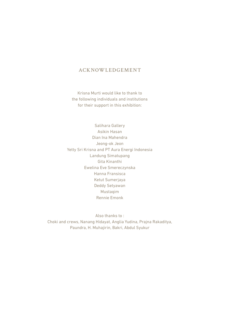#### **acknow ledgement**

Krisna Murti would like to thank to the following individuals and institutions for their support in this exhibition:

Salihara Gallery Asikin Hasan Dian Ina Mahendra Jeong-ok Jeon Yetty Sri Krisna and PT Aura Energi Indonesia Landung Simatupang Gita Kinanthi Ewelina Eve Smereczynska Hanna Fransisca Ketut Sumerjaya Deddy Setyawan Mustaqim Rennie Emonk

Also thanks to : Choki and crews, Nanang Hidayat, Anglia Yudina, Prajna Rakaditya, Paundra, H. Muhajirin, Bakri, Abdul Syukur